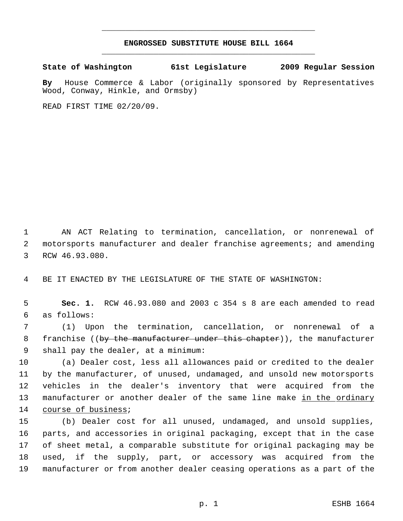## **ENGROSSED SUBSTITUTE HOUSE BILL 1664** \_\_\_\_\_\_\_\_\_\_\_\_\_\_\_\_\_\_\_\_\_\_\_\_\_\_\_\_\_\_\_\_\_\_\_\_\_\_\_\_\_\_\_\_\_

\_\_\_\_\_\_\_\_\_\_\_\_\_\_\_\_\_\_\_\_\_\_\_\_\_\_\_\_\_\_\_\_\_\_\_\_\_\_\_\_\_\_\_\_\_

**State of Washington 61st Legislature 2009 Regular Session**

**By** House Commerce & Labor (originally sponsored by Representatives Wood, Conway, Hinkle, and Ormsby)

READ FIRST TIME 02/20/09.

 AN ACT Relating to termination, cancellation, or nonrenewal of motorsports manufacturer and dealer franchise agreements; and amending RCW 46.93.080.

BE IT ENACTED BY THE LEGISLATURE OF THE STATE OF WASHINGTON:

 **Sec. 1.** RCW 46.93.080 and 2003 c 354 s 8 are each amended to read as follows:

 (1) Upon the termination, cancellation, or nonrenewal of a 8 franchise ((<del>by the manufacturer under this chapter</del>)), the manufacturer shall pay the dealer, at a minimum:

 (a) Dealer cost, less all allowances paid or credited to the dealer by the manufacturer, of unused, undamaged, and unsold new motorsports vehicles in the dealer's inventory that were acquired from the 13 manufacturer or another dealer of the same line make in the ordinary course of business;

 (b) Dealer cost for all unused, undamaged, and unsold supplies, parts, and accessories in original packaging, except that in the case of sheet metal, a comparable substitute for original packaging may be used, if the supply, part, or accessory was acquired from the manufacturer or from another dealer ceasing operations as a part of the